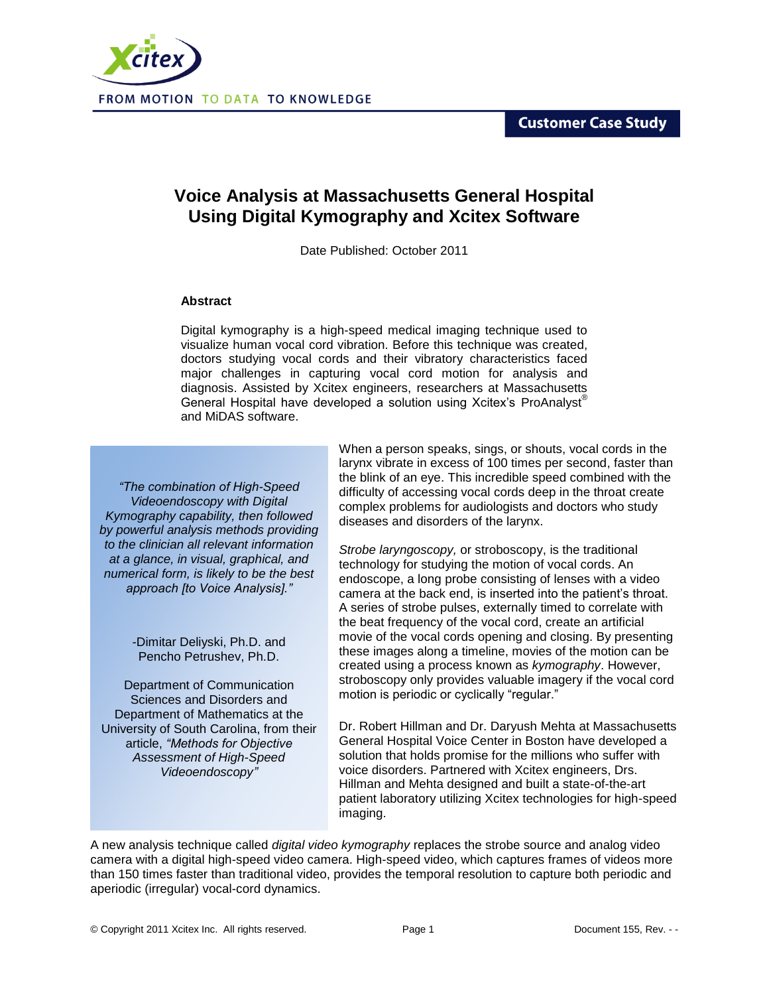**Customer Case Study** 



## **Voice Analysis at Massachusetts General Hospital Using Digital Kymography and Xcitex Software**

Date Published: October 2011

## **Abstract**

Digital kymography is a high-speed medical imaging technique used to visualize human vocal cord vibration. Before this technique was created, doctors studying vocal cords and their vibratory characteristics faced major challenges in capturing vocal cord motion for analysis and diagnosis. Assisted by Xcitex engineers, researchers at Massachusetts General Hospital have developed a solution using Xcitex's ProAnalyst® and MiDAS software.

*"The combination of High-Speed Videoendoscopy with Digital Kymography capability, then followed by powerful analysis methods providing to the clinician all relevant information at a glance, in visual, graphical, and numerical form, is likely to be the best approach [to Voice Analysis]."*

> -Dimitar Deliyski, Ph.D. and Pencho Petrushev, Ph.D.

Department of Communication Sciences and Disorders and Department of Mathematics at the University of South Carolina, from their article, *"Methods for Objective Assessment of High-Speed Videoendoscopy"*

When a person speaks, sings, or shouts, vocal cords in the larynx vibrate in excess of 100 times per second, faster than the blink of an eye. This incredible speed combined with the difficulty of accessing vocal cords deep in the throat create complex problems for audiologists and doctors who study diseases and disorders of the larynx.

*Strobe laryngoscopy,* or stroboscopy, is the traditional technology for studying the motion of vocal cords. An endoscope, a long probe consisting of lenses with a video camera at the back end, is inserted into the patient's throat. A series of strobe pulses, externally timed to correlate with the beat frequency of the vocal cord, create an artificial movie of the vocal cords opening and closing. By presenting these images along a timeline, movies of the motion can be created using a process known as *kymography*. However, stroboscopy only provides valuable imagery if the vocal cord motion is periodic or cyclically "regular."

Dr. Robert Hillman and Dr. Daryush Mehta at Massachusetts General Hospital Voice Center in Boston have developed a solution that holds promise for the millions who suffer with voice disorders. Partnered with Xcitex engineers, Drs. Hillman and Mehta designed and built a state-of-the-art patient laboratory utilizing Xcitex technologies for high-speed imaging.

A new analysis technique called *digital video kymography* replaces the strobe source and analog video camera with a digital high-speed video camera. High-speed video, which captures frames of videos more than 150 times faster than traditional video, provides the temporal resolution to capture both periodic and aperiodic (irregular) vocal-cord dynamics.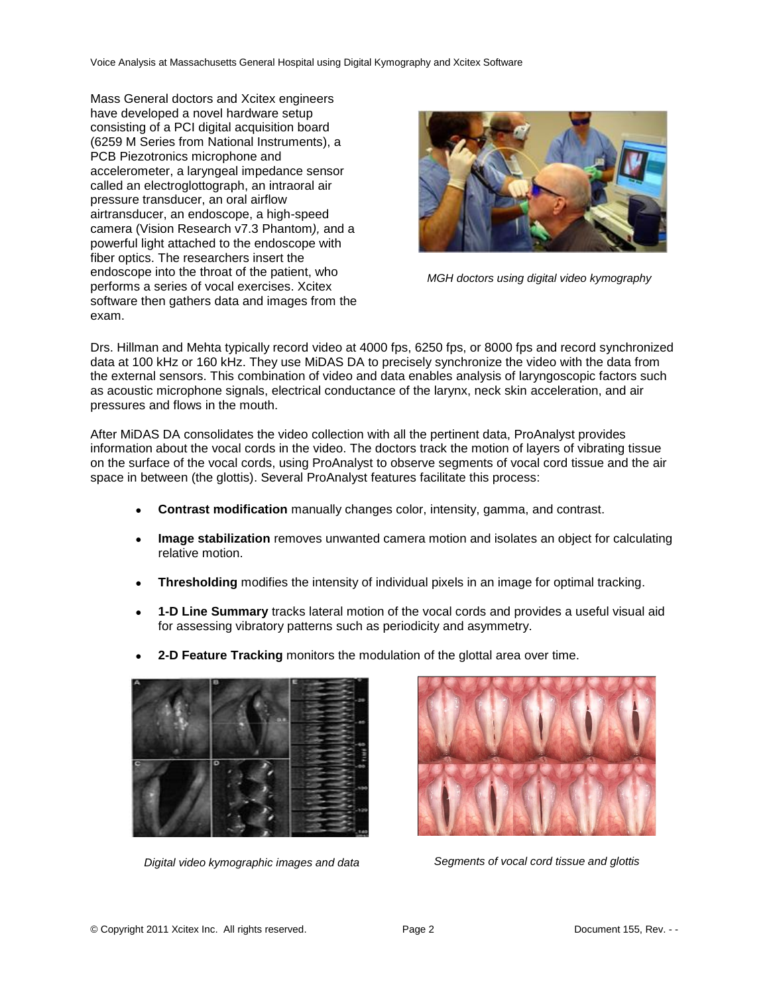Voice Analysis at Massachusetts General Hospital using Digital Kymography and Xcitex Software

Mass General doctors and Xcitex engineers have developed a novel hardware setup consisting of a PCI digital acquisition board (6259 M Series from National Instruments), a PCB Piezotronics microphone and accelerometer, a laryngeal impedance sensor called an electroglottograph, an intraoral air pressure transducer, an oral airflow airtransducer, an endoscope, a high-speed camera (Vision Research v7.3 Phantom*),* and a powerful light attached to the endoscope with fiber optics. The researchers insert the endoscope into the throat of the patient, who performs a series of vocal exercises. Xcitex software then gathers data and images from the exam.



*MGH doctors using digital video kymography*

Drs. Hillman and Mehta typically record video at 4000 fps, 6250 fps, or 8000 fps and record synchronized data at 100 kHz or 160 kHz. They use MiDAS DA to precisely synchronize the video with the data from the external sensors. This combination of video and data enables analysis of laryngoscopic factors such as acoustic microphone signals, electrical conductance of the larynx, neck skin acceleration, and air pressures and flows in the mouth.

After MiDAS DA consolidates the video collection with all the pertinent data, ProAnalyst provides information about the vocal cords in the video. The doctors track the motion of layers of vibrating tissue on the surface of the vocal cords, using ProAnalyst to observe segments of vocal cord tissue and the air space in between (the glottis). Several ProAnalyst features facilitate this process:

- **Contrast modification** manually changes color, intensity, gamma, and contrast.
- **Image stabilization** removes unwanted camera motion and isolates an object for calculating relative motion.
- **Thresholding** modifies the intensity of individual pixels in an image for optimal tracking.
- **1-D Line Summary** tracks lateral motion of the vocal cords and provides a useful visual aid for assessing vibratory patterns such as periodicity and asymmetry.
- **2-D Feature Tracking** monitors the modulation of the glottal area over time.



*Digital video kymographic images and data Segments of vocal cord tissue and glottis*

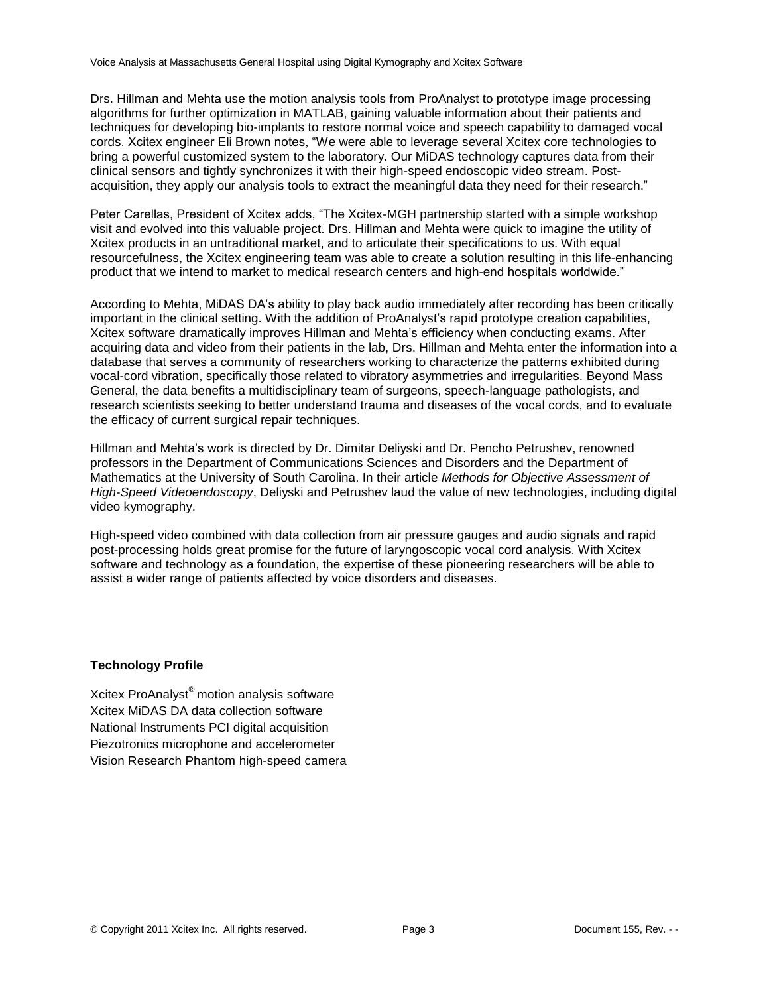Drs. Hillman and Mehta use the motion analysis tools from ProAnalyst to prototype image processing algorithms for further optimization in MATLAB, gaining valuable information about their patients and techniques for developing bio-implants to restore normal voice and speech capability to damaged vocal cords. Xcitex engineer Eli Brown notes, "We were able to leverage several Xcitex core technologies to bring a powerful customized system to the laboratory. Our MiDAS technology captures data from their clinical sensors and tightly synchronizes it with their high-speed endoscopic video stream. Postacquisition, they apply our analysis tools to extract the meaningful data they need for their research."

Peter Carellas, President of Xcitex adds, "The Xcitex-MGH partnership started with a simple workshop visit and evolved into this valuable project. Drs. Hillman and Mehta were quick to imagine the utility of Xcitex products in an untraditional market, and to articulate their specifications to us. With equal resourcefulness, the Xcitex engineering team was able to create a solution resulting in this life-enhancing product that we intend to market to medical research centers and high-end hospitals worldwide."

According to Mehta, MiDAS DA's ability to play back audio immediately after recording has been critically important in the clinical setting. With the addition of ProAnalyst's rapid prototype creation capabilities, Xcitex software dramatically improves Hillman and Mehta's efficiency when conducting exams. After acquiring data and video from their patients in the lab, Drs. Hillman and Mehta enter the information into a database that serves a community of researchers working to characterize the patterns exhibited during vocal-cord vibration, specifically those related to vibratory asymmetries and irregularities. Beyond Mass General, the data benefits a multidisciplinary team of surgeons, speech-language pathologists, and research scientists seeking to better understand trauma and diseases of the vocal cords, and to evaluate the efficacy of current surgical repair techniques.

Hillman and Mehta's work is directed by Dr. Dimitar Deliyski and Dr. Pencho Petrushev, renowned professors in the Department of Communications Sciences and Disorders and the Department of Mathematics at the University of South Carolina. In their article *Methods for Objective Assessment of High-Speed Videoendoscopy*, Deliyski and Petrushev laud the value of new technologies, including digital video kymography.

High-speed video combined with data collection from air pressure gauges and audio signals and rapid post-processing holds great promise for the future of laryngoscopic vocal cord analysis. With Xcitex software and technology as a foundation, the expertise of these pioneering researchers will be able to assist a wider range of patients affected by voice disorders and diseases.

## **Technology Profile**

Xcitex ProAnalyst® motion analysis software Xcitex MiDAS DA data collection software National Instruments PCI digital acquisition Piezotronics microphone and accelerometer Vision Research Phantom high-speed camera